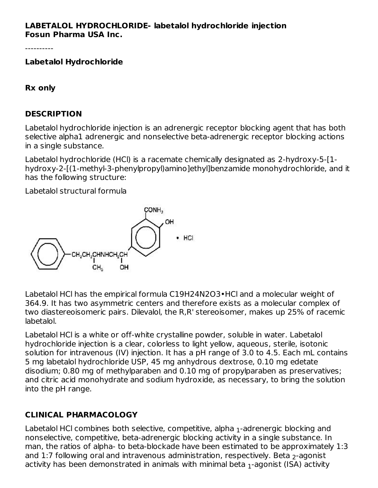### **LABETALOL HYDROCHLORIDE- labetalol hydrochloride injection Fosun Pharma USA Inc.**

----------

**Labetalol Hydrochloride**

**Rx only**

#### **DESCRIPTION**

Labetalol hydrochloride injection is an adrenergic receptor blocking agent that has both selective alpha1 adrenergic and nonselective beta-adrenergic receptor blocking actions in a single substance.

Labetalol hydrochloride (HCl) is a racemate chemically designated as 2-hydroxy-5-[1 hydroxy-2-[(1-methyl-3-phenylpropyl)amino]ethyl]benzamide monohydrochloride, and it has the following structure:

Labetalol structural formula



Labetalol HCl has the empirical formula C19H24N2O3•HCl and a molecular weight of 364.9. It has two asymmetric centers and therefore exists as a molecular complex of two diastereoisomeric pairs. Dilevalol, the R,R' stereoisomer, makes up 25% of racemic labetalol.

Labetalol HCl is a white or off-white crystalline powder, soluble in water. Labetalol hydrochloride injection is a clear, colorless to light yellow, aqueous, sterile, isotonic solution for intravenous (IV) injection. It has a pH range of 3.0 to 4.5. Each mL contains 5 mg labetalol hydrochloride USP, 45 mg anhydrous dextrose, 0.10 mg edetate disodium; 0.80 mg of methylparaben and 0.10 mg of propylparaben as preservatives; and citric acid monohydrate and sodium hydroxide, as necessary, to bring the solution into the pH range.

## **CLINICAL PHARMACOLOGY**

Labetalol HCl combines both selective, competitive, alpha  $_1$ -adrenergic blocking and nonselective, competitive, beta-adrenergic blocking activity in a single substance. In man, the ratios of alpha- to beta-blockade have been estimated to be approximately 1:3 and  $1:7$  following oral and intravenous administration, respectively. Beta  $_2$ -agonist activity has been demonstrated in animals with minimal beta  $_1$ -agonist (ISA) activity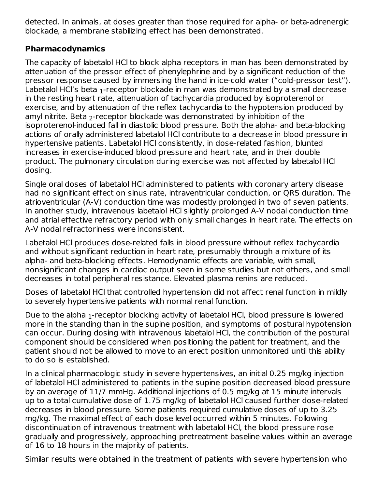detected. In animals, at doses greater than those required for alpha- or beta-adrenergic blockade, a membrane stabilizing effect has been demonstrated.

### **Pharmacodynamics**

The capacity of labetalol HCl to block alpha receptors in man has been demonstrated by attenuation of the pressor effect of phenylephrine and by a significant reduction of the pressor response caused by immersing the hand in ice-cold water ("cold-pressor test"). Labetalol HCl's beta  $_1$ -receptor blockade in man was demonstrated by a small decrease in the resting heart rate, attenuation of tachycardia produced by isoproterenol or exercise, and by attenuation of the reflex tachycardia to the hypotension produced by amyl nitrite. Beta <sub>2</sub>-receptor blockade was demonstrated by inhibition of the isoproterenol-induced fall in diastolic blood pressure. Both the alpha- and beta-blocking actions of orally administered labetalol HCl contribute to a decrease in blood pressure in hypertensive patients. Labetalol HCl consistently, in dose-related fashion, blunted increases in exercise-induced blood pressure and heart rate, and in their double product. The pulmonary circulation during exercise was not affected by labetalol HCl dosing.

Single oral doses of labetalol HCl administered to patients with coronary artery disease had no significant effect on sinus rate, intraventricular conduction, or QRS duration. The atrioventricular (A-V) conduction time was modestly prolonged in two of seven patients. In another study, intravenous labetalol HCl slightly prolonged A-V nodal conduction time and atrial effective refractory period with only small changes in heart rate. The effects on A-V nodal refractoriness were inconsistent.

Labetalol HCl produces dose-related falls in blood pressure without reflex tachycardia and without significant reduction in heart rate, presumably through a mixture of its alpha- and beta-blocking effects. Hemodynamic effects are variable, with small, nonsignificant changes in cardiac output seen in some studies but not others, and small decreases in total peripheral resistance. Elevated plasma renins are reduced.

Doses of labetalol HCl that controlled hypertension did not affect renal function in mildly to severely hypertensive patients with normal renal function.

Due to the alpha  $_1$ -receptor blocking activity of labetalol HCl, blood pressure is lowered more in the standing than in the supine position, and symptoms of postural hypotension can occur. During dosing with intravenous labetalol HCl, the contribution of the postural component should be considered when positioning the patient for treatment, and the patient should not be allowed to move to an erect position unmonitored until this ability to do so is established.

In a clinical pharmacologic study in severe hypertensives, an initial 0.25 mg/kg injection of labetalol HCl administered to patients in the supine position decreased blood pressure by an average of 11/7 mmHg. Additional injections of 0.5 mg/kg at 15 minute intervals up to a total cumulative dose of 1.75 mg/kg of labetalol HCl caused further dose-related decreases in blood pressure. Some patients required cumulative doses of up to 3.25 mg/kg. The maximal effect of each dose level occurred within 5 minutes. Following discontinuation of intravenous treatment with labetalol HCl, the blood pressure rose gradually and progressively, approaching pretreatment baseline values within an average of 16 to 18 hours in the majority of patients.

Similar results were obtained in the treatment of patients with severe hypertension who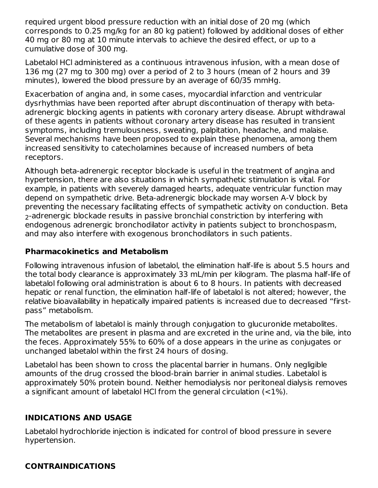required urgent blood pressure reduction with an initial dose of 20 mg (which corresponds to 0.25 mg/kg for an 80 kg patient) followed by additional doses of either 40 mg or 80 mg at 10 minute intervals to achieve the desired effect, or up to a cumulative dose of 300 mg.

Labetalol HCl administered as a continuous intravenous infusion, with a mean dose of 136 mg (27 mg to 300 mg) over a period of 2 to 3 hours (mean of 2 hours and 39 minutes), lowered the blood pressure by an average of 60/35 mmHg.

Exacerbation of angina and, in some cases, myocardial infarction and ventricular dysrhythmias have been reported after abrupt discontinuation of therapy with betaadrenergic blocking agents in patients with coronary artery disease. Abrupt withdrawal of these agents in patients without coronary artery disease has resulted in transient symptoms, including tremulousness, sweating, palpitation, headache, and malaise. Several mechanisms have been proposed to explain these phenomena, among them increased sensitivity to catecholamines because of increased numbers of beta receptors.

Although beta-adrenergic receptor blockade is useful in the treatment of angina and hypertension, there are also situations in which sympathetic stimulation is vital. For example, in patients with severely damaged hearts, adequate ventricular function may depend on sympathetic drive. Beta-adrenergic blockade may worsen A-V block by preventing the necessary facilitating effects of sympathetic activity on conduction. Beta -adrenergic blockade results in passive bronchial constriction by interfering with 2endogenous adrenergic bronchodilator activity in patients subject to bronchospasm, and may also interfere with exogenous bronchodilators in such patients.

### **Pharmacokinetics and Metabolism**

Following intravenous infusion of labetalol, the elimination half-life is about 5.5 hours and the total body clearance is approximately 33 mL/min per kilogram. The plasma half-life of labetalol following oral administration is about 6 to 8 hours. In patients with decreased hepatic or renal function, the elimination half-life of labetalol is not altered; however, the relative bioavailability in hepatically impaired patients is increased due to decreased "firstpass" metabolism.

The metabolism of labetalol is mainly through conjugation to glucuronide metabolites. The metabolites are present in plasma and are excreted in the urine and, via the bile, into the feces. Approximately 55% to 60% of a dose appears in the urine as conjugates or unchanged labetalol within the first 24 hours of dosing.

Labetalol has been shown to cross the placental barrier in humans. Only negligible amounts of the drug crossed the blood-brain barrier in animal studies. Labetalol is approximately 50% protein bound. Neither hemodialysis nor peritoneal dialysis removes a significant amount of labetalol HCl from the general circulation (<1%).

## **INDICATIONS AND USAGE**

Labetalol hydrochloride injection is indicated for control of blood pressure in severe hypertension.

# **CONTRAINDICATIONS**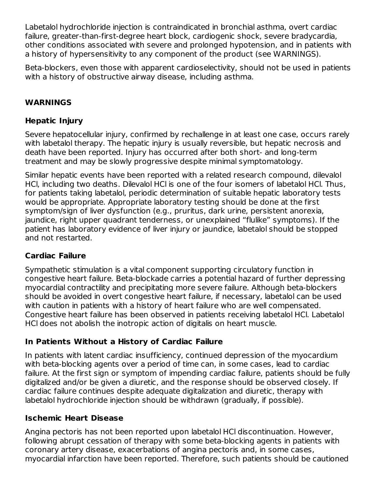Labetalol hydrochloride injection is contraindicated in bronchial asthma, overt cardiac failure, greater-than-first-degree heart block, cardiogenic shock, severe bradycardia, other conditions associated with severe and prolonged hypotension, and in patients with a history of hypersensitivity to any component of the product (see WARNINGS).

Beta-blockers, even those with apparent cardioselectivity, should not be used in patients with a history of obstructive airway disease, including asthma.

## **WARNINGS**

## **Hepatic Injury**

Severe hepatocellular injury, confirmed by rechallenge in at least one case, occurs rarely with labetalol therapy. The hepatic injury is usually reversible, but hepatic necrosis and death have been reported. Injury has occurred after both short- and long-term treatment and may be slowly progressive despite minimal symptomatology.

Similar hepatic events have been reported with a related research compound, dilevalol HCl, including two deaths. Dilevalol HCl is one of the four isomers of labetalol HCl. Thus, for patients taking labetalol, periodic determination of suitable hepatic laboratory tests would be appropriate. Appropriate laboratory testing should be done at the first symptom/sign of liver dysfunction (e.g., pruritus, dark urine, persistent anorexia, jaundice, right upper quadrant tenderness, or unexplained "flulike" symptoms). If the patient has laboratory evidence of liver injury or jaundice, labetalol should be stopped and not restarted.

## **Cardiac Failure**

Sympathetic stimulation is a vital component supporting circulatory function in congestive heart failure. Beta-blockade carries a potential hazard of further depressing myocardial contractility and precipitating more severe failure. Although beta-blockers should be avoided in overt congestive heart failure, if necessary, labetalol can be used with caution in patients with a history of heart failure who are well compensated. Congestive heart failure has been observed in patients receiving labetalol HCl. Labetalol HCl does not abolish the inotropic action of digitalis on heart muscle.

## **In Patients Without a History of Cardiac Failure**

In patients with latent cardiac insufficiency, continued depression of the myocardium with beta-blocking agents over a period of time can, in some cases, lead to cardiac failure. At the first sign or symptom of impending cardiac failure, patients should be fully digitalized and/or be given a diuretic, and the response should be observed closely. If cardiac failure continues despite adequate digitalization and diuretic, therapy with labetalol hydrochloride injection should be withdrawn (gradually, if possible).

## **Ischemic Heart Disease**

Angina pectoris has not been reported upon labetalol HCl discontinuation. However, following abrupt cessation of therapy with some beta-blocking agents in patients with coronary artery disease, exacerbations of angina pectoris and, in some cases, myocardial infarction have been reported. Therefore, such patients should be cautioned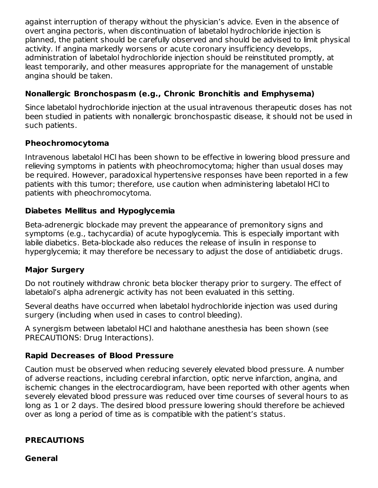against interruption of therapy without the physician's advice. Even in the absence of overt angina pectoris, when discontinuation of labetalol hydrochloride injection is planned, the patient should be carefully observed and should be advised to limit physical activity. If angina markedly worsens or acute coronary insufficiency develops, administration of labetalol hydrochloride injection should be reinstituted promptly, at least temporarily, and other measures appropriate for the management of unstable angina should be taken.

## **Nonallergic Bronchospasm (e.g., Chronic Bronchitis and Emphysema)**

Since labetalol hydrochloride injection at the usual intravenous therapeutic doses has not been studied in patients with nonallergic bronchospastic disease, it should not be used in such patients.

## **Pheochromocytoma**

Intravenous labetalol HCl has been shown to be effective in lowering blood pressure and relieving symptoms in patients with pheochromocytoma; higher than usual doses may be required. However, paradoxical hypertensive responses have been reported in a few patients with this tumor; therefore, use caution when administering labetalol HCl to patients with pheochromocytoma.

## **Diabetes Mellitus and Hypoglycemia**

Beta-adrenergic blockade may prevent the appearance of premonitory signs and symptoms (e.g., tachycardia) of acute hypoglycemia. This is especially important with labile diabetics. Beta-blockade also reduces the release of insulin in response to hyperglycemia; it may therefore be necessary to adjust the dose of antidiabetic drugs.

### **Major Surgery**

Do not routinely withdraw chronic beta blocker therapy prior to surgery. The effect of labetalol's alpha adrenergic activity has not been evaluated in this setting.

Several deaths have occurred when labetalol hydrochloride injection was used during surgery (including when used in cases to control bleeding).

A synergism between labetalol HCl and halothane anesthesia has been shown (see PRECAUTIONS: Drug Interactions).

### **Rapid Decreases of Blood Pressure**

Caution must be observed when reducing severely elevated blood pressure. A number of adverse reactions, including cerebral infarction, optic nerve infarction, angina, and ischemic changes in the electrocardiogram, have been reported with other agents when severely elevated blood pressure was reduced over time courses of several hours to as long as 1 or 2 days. The desired blood pressure lowering should therefore be achieved over as long a period of time as is compatible with the patient's status.

### **PRECAUTIONS**

**General**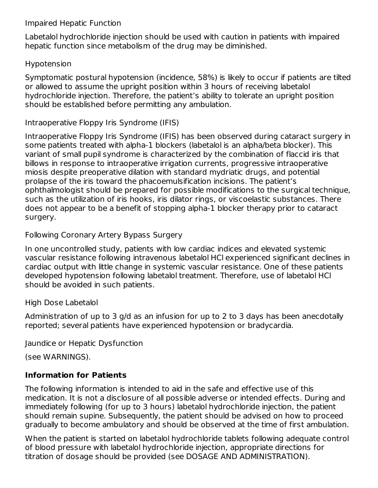Impaired Hepatic Function

Labetalol hydrochloride injection should be used with caution in patients with impaired hepatic function since metabolism of the drug may be diminished.

### Hypotension

Symptomatic postural hypotension (incidence, 58%) is likely to occur if patients are tilted or allowed to assume the upright position within 3 hours of receiving labetalol hydrochloride injection. Therefore, the patient's ability to tolerate an upright position should be established before permitting any ambulation.

### Intraoperative Floppy Iris Syndrome (IFIS)

Intraoperative Floppy Iris Syndrome (IFIS) has been observed during cataract surgery in some patients treated with alpha-1 blockers (labetalol is an alpha/beta blocker). This variant of small pupil syndrome is characterized by the combination of flaccid iris that billows in response to intraoperative irrigation currents, progressive intraoperative miosis despite preoperative dilation with standard mydriatic drugs, and potential prolapse of the iris toward the phacoemulsification incisions. The patient's ophthalmologist should be prepared for possible modifications to the surgical technique, such as the utilization of iris hooks, iris dilator rings, or viscoelastic substances. There does not appear to be a benefit of stopping alpha-1 blocker therapy prior to cataract surgery.

### Following Coronary Artery Bypass Surgery

In one uncontrolled study, patients with low cardiac indices and elevated systemic vascular resistance following intravenous labetalol HCl experienced significant declines in cardiac output with little change in systemic vascular resistance. One of these patients developed hypotension following labetalol treatment. Therefore, use of labetalol HCl should be avoided in such patients.

### High Dose Labetalol

Administration of up to 3 g/d as an infusion for up to 2 to 3 days has been anecdotally reported; several patients have experienced hypotension or bradycardia.

Jaundice or Hepatic Dysfunction

(see WARNINGS).

## **Information for Patients**

The following information is intended to aid in the safe and effective use of this medication. It is not a disclosure of all possible adverse or intended effects. During and immediately following (for up to 3 hours) labetalol hydrochloride injection, the patient should remain supine. Subsequently, the patient should be advised on how to proceed gradually to become ambulatory and should be observed at the time of first ambulation.

When the patient is started on labetalol hydrochloride tablets following adequate control of blood pressure with labetalol hydrochloride injection, appropriate directions for titration of dosage should be provided (see DOSAGE AND ADMINISTRATION).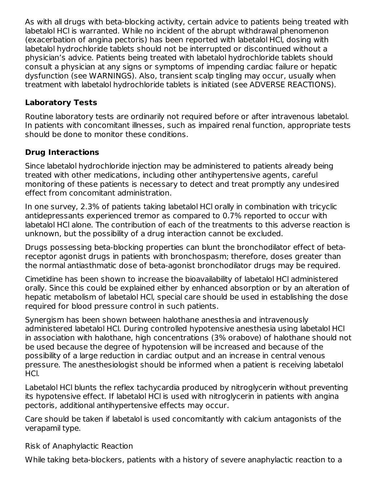As with all drugs with beta-blocking activity, certain advice to patients being treated with labetalol HCl is warranted. While no incident of the abrupt withdrawal phenomenon (exacerbation of angina pectoris) has been reported with labetalol HCl, dosing with labetalol hydrochloride tablets should not be interrupted or discontinued without a physician's advice. Patients being treated with labetalol hydrochloride tablets should consult a physician at any signs or symptoms of impending cardiac failure or hepatic dysfunction (see WARNINGS). Also, transient scalp tingling may occur, usually when treatment with labetalol hydrochloride tablets is initiated (see ADVERSE REACTIONS).

## **Laboratory Tests**

Routine laboratory tests are ordinarily not required before or after intravenous labetalol. In patients with concomitant illnesses, such as impaired renal function, appropriate tests should be done to monitor these conditions.

## **Drug Interactions**

Since labetalol hydrochloride injection may be administered to patients already being treated with other medications, including other antihypertensive agents, careful monitoring of these patients is necessary to detect and treat promptly any undesired effect from concomitant administration.

In one survey, 2.3% of patients taking labetalol HCl orally in combination with tricyclic antidepressants experienced tremor as compared to 0.7% reported to occur with labetalol HCl alone. The contribution of each of the treatments to this adverse reaction is unknown, but the possibility of a drug interaction cannot be excluded.

Drugs possessing beta-blocking properties can blunt the bronchodilator effect of betareceptor agonist drugs in patients with bronchospasm; therefore, doses greater than the normal antiasthmatic dose of beta-agonist bronchodilator drugs may be required.

Cimetidine has been shown to increase the bioavailability of labetalol HCl administered orally. Since this could be explained either by enhanced absorption or by an alteration of hepatic metabolism of labetalol HCl, special care should be used in establishing the dose required for blood pressure control in such patients.

Synergism has been shown between halothane anesthesia and intravenously administered labetalol HCl. During controlled hypotensive anesthesia using labetalol HCl in association with halothane, high concentrations (3% orabove) of halothane should not be used because the degree of hypotension will be increased and because of the possibility of a large reduction in cardiac output and an increase in central venous pressure. The anesthesiologist should be informed when a patient is receiving labetalol HCl.

Labetalol HCl blunts the reflex tachycardia produced by nitroglycerin without preventing its hypotensive effect. If labetalol HCl is used with nitroglycerin in patients with angina pectoris, additional antihypertensive effects may occur.

Care should be taken if labetalol is used concomitantly with calcium antagonists of the verapamil type.

Risk of Anaphylactic Reaction

While taking beta-blockers, patients with a history of severe anaphylactic reaction to a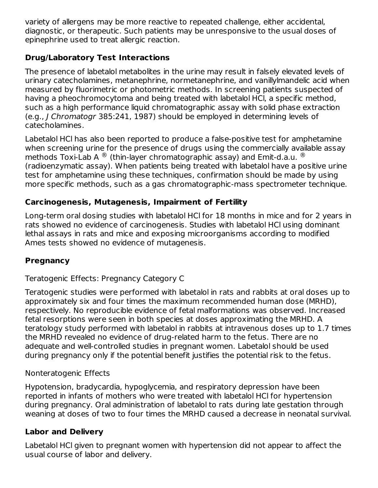variety of allergens may be more reactive to repeated challenge, either accidental, diagnostic, or therapeutic. Such patients may be unresponsive to the usual doses of epinephrine used to treat allergic reaction.

## **Drug/Laboratory Test Interactions**

The presence of labetalol metabolites in the urine may result in falsely elevated levels of urinary catecholamines, metanephrine, normetanephrine, and vanillylmandelic acid when measured by fluorimetric or photometric methods. In screening patients suspected of having a pheochromocytoma and being treated with labetalol HCl, a specific method, such as a high performance liquid chromatographic assay with solid phase extraction (e.g., J Chromatogr 385:241, 1987) should be employed in determining levels of catecholamines.

Labetalol HCl has also been reported to produce a false-positive test for amphetamine when screening urine for the presence of drugs using the commercially available assay methods Toxi-Lab A  $^\circledR$  (thin-layer chromatographic assay) and Emit-d.a.u.  $^\circledR$ (radioenzymatic assay). When patients being treated with labetalol have a positive urine test for amphetamine using these techniques, confirmation should be made by using more specific methods, such as a gas chromatographic-mass spectrometer technique.

## **Carcinogenesis, Mutagenesis, Impairment of Fertility**

Long-term oral dosing studies with labetalol HCl for 18 months in mice and for 2 years in rats showed no evidence of carcinogenesis. Studies with labetalol HCl using dominant lethal assays in rats and mice and exposing microorganisms according to modified Ames tests showed no evidence of mutagenesis.

## **Pregnancy**

Teratogenic Effects: Pregnancy Category C

Teratogenic studies were performed with labetalol in rats and rabbits at oral doses up to approximately six and four times the maximum recommended human dose (MRHD), respectively. No reproducible evidence of fetal malformations was observed. Increased fetal resorptions were seen in both species at doses approximating the MRHD. A teratology study performed with labetalol in rabbits at intravenous doses up to 1.7 times the MRHD revealed no evidence of drug-related harm to the fetus. There are no adequate and well-controlled studies in pregnant women. Labetalol should be used during pregnancy only if the potential benefit justifies the potential risk to the fetus.

## Nonteratogenic Effects

Hypotension, bradycardia, hypoglycemia, and respiratory depression have been reported in infants of mothers who were treated with labetalol HCl for hypertension during pregnancy. Oral administration of labetalol to rats during late gestation through weaning at doses of two to four times the MRHD caused a decrease in neonatal survival.

## **Labor and Delivery**

Labetalol HCl given to pregnant women with hypertension did not appear to affect the usual course of labor and delivery.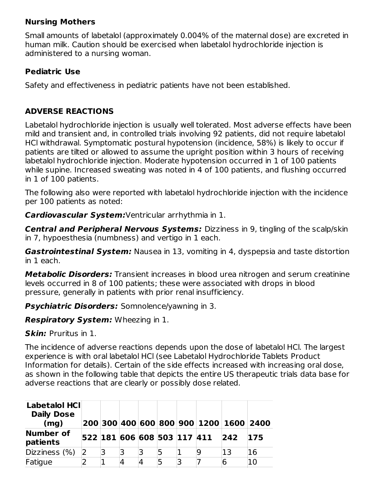### **Nursing Mothers**

Small amounts of labetalol (approximately 0.004% of the maternal dose) are excreted in human milk. Caution should be exercised when labetalol hydrochloride injection is administered to a nursing woman.

### **Pediatric Use**

Safety and effectiveness in pediatric patients have not been established.

### **ADVERSE REACTIONS**

Labetalol hydrochloride injection is usually well tolerated. Most adverse effects have been mild and transient and, in controlled trials involving 92 patients, did not require labetalol HCl withdrawal. Symptomatic postural hypotension (incidence, 58%) is likely to occur if patients are tilted or allowed to assume the upright position within 3 hours of receiving labetalol hydrochloride injection. Moderate hypotension occurred in 1 of 100 patients while supine. Increased sweating was noted in 4 of 100 patients, and flushing occurred in 1 of 100 patients.

The following also were reported with labetalol hydrochloride injection with the incidence per 100 patients as noted:

**Cardiovascular System:**Ventricular arrhythmia in 1.

**Central and Peripheral Nervous Systems:** Dizziness in 9, tingling of the scalp/skin in 7, hypoesthesia (numbness) and vertigo in 1 each.

**Gastrointestinal System:** Nausea in 13, vomiting in 4, dyspepsia and taste distortion in 1 each.

**Metabolic Disorders:** Transient increases in blood urea nitrogen and serum creatinine levels occurred in 8 of 100 patients; these were associated with drops in blood pressure, generally in patients with prior renal insufficiency.

**Psychiatric Disorders:** Somnolence/yawning in 3.

### **Respiratory System:** Wheezing in 1.

**Skin:** Pruritus in 1.

The incidence of adverse reactions depends upon the dose of labetalol HCl. The largest experience is with oral labetalol HCl (see Labetalol Hydrochloride Tablets Product Information for details). Certain of the side effects increased with increasing oral dose, as shown in the following table that depicts the entire US therapeutic trials data base for adverse reactions that are clearly or possibly dose related.

| <b>Labetalol HCI</b><br><b>Daily Dose</b><br>(mg) |                |   |   |   |                             |   |    | 200 300 400 600 800 900 1200 1600 2400 |            |
|---------------------------------------------------|----------------|---|---|---|-----------------------------|---|----|----------------------------------------|------------|
| <b>Number of</b><br>patients                      |                |   |   |   | 522 181 606 608 503 117 411 |   |    | 242                                    | <b>175</b> |
| Dizziness (%)                                     | $\overline{2}$ | 3 | 3 |   | 5                           |   | ld | 13                                     | 16         |
| Fatigue                                           |                |   |   | Δ | 5                           | 3 |    |                                        | 10         |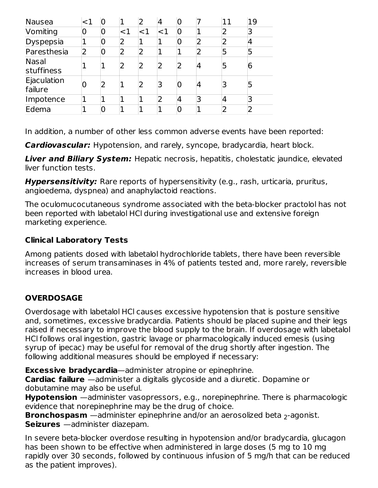| <b>Nausea</b>              | $<$ 1          |   | 1              | $\overline{2}$ | 4              | 0           |                | 11             | 19 |
|----------------------------|----------------|---|----------------|----------------|----------------|-------------|----------------|----------------|----|
| Vomiting                   | 0              |   | $<$ 1          | $<$ 1          | $<$ 1          | 10          | 1              | $\overline{2}$ | 3  |
| Dyspepsia                  | 1              |   | 2              | 1              | 1              | $ 0\rangle$ | $\overline{2}$ | $\overline{2}$ |    |
| Paresthesia                | $\overline{2}$ |   | $\overline{2}$ | $\overline{2}$ | -1             | 1           | $\overline{2}$ | 5              | 5  |
| <b>Nasal</b><br>stuffiness |                |   | 2              |                |                | 2           | 4              | 5              | O  |
| Ejaculation<br>failure     | 0              |   | 1              |                | 3              | 10          | 4              | 3              |    |
| Impotence                  |                | ◄ | 1              | 1              | $\overline{2}$ | 4           | 3              | $\overline{4}$ |    |
| Edema                      |                |   |                |                | ┓              | 10          |                | $\overline{2}$ |    |

In addition, a number of other less common adverse events have been reported:

**Cardiovascular:** Hypotension, and rarely, syncope, bradycardia, heart block.

**Liver and Biliary System:** Hepatic necrosis, hepatitis, cholestatic jaundice, elevated liver function tests.

**Hypersensitivity:** Rare reports of hypersensitivity (e.g., rash, urticaria, pruritus, angioedema, dyspnea) and anaphylactoid reactions.

The oculomucocutaneous syndrome associated with the beta-blocker practolol has not been reported with labetalol HCl during investigational use and extensive foreign marketing experience.

## **Clinical Laboratory Tests**

Among patients dosed with labetalol hydrochloride tablets, there have been reversible increases of serum transaminases in 4% of patients tested and, more rarely, reversible increases in blood urea.

## **OVERDOSAGE**

Overdosage with labetalol HCl causes excessive hypotension that is posture sensitive and, sometimes, excessive bradycardia. Patients should be placed supine and their legs raised if necessary to improve the blood supply to the brain. If overdosage with labetalol HCl follows oral ingestion, gastric lavage or pharmacologically induced emesis (using syrup of ipecac) may be useful for removal of the drug shortly after ingestion. The following additional measures should be employed if necessary:

**Excessive bradycardia**—administer atropine or epinephrine.

**Cardiac failure** —administer a digitalis glycoside and a diuretic. Dopamine or dobutamine may also be useful.

**Hypotension** —administer vasopressors, e.g., norepinephrine. There is pharmacologic evidence that norepinephrine may be the drug of choice.

**Bronchospasm** —administer epinephrine and/or an aerosolized beta <sub>2</sub>-agonist. **Seizures** —administer diazepam.

In severe beta-blocker overdose resulting in hypotension and/or bradycardia, glucagon has been shown to be effective when administered in large doses (5 mg to 10 mg rapidly over 30 seconds, followed by continuous infusion of 5 mg/h that can be reduced as the patient improves).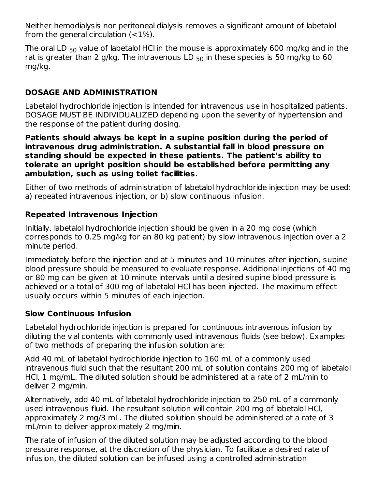Neither hemodialysis nor peritoneal dialysis removes a significant amount of labetalol from the general circulation (<1%).

The oral LD  $_{50}$  value of labetalol HCl in the mouse is approximately 600 mg/kg and in the rat is greater than 2 g/kg. The intravenous LD  $_{50}$  in these species is 50 mg/kg to 60  $\,$ mg/kg.

## **DOSAGE AND ADMINISTRATION**

Labetalol hydrochloride injection is intended for intravenous use in hospitalized patients. DOSAGE MUST BE INDIVIDUALIZED depending upon the severity of hypertension and the response of the patient during dosing.

**Patients should always be kept in a supine position during the period of intravenous drug administration. A substantial fall in blood pressure on standing should be expected in these patients. The patient's ability to tolerate an upright position should be established before permitting any ambulation, such as using toilet facilities.**

Either of two methods of administration of labetalol hydrochloride injection may be used: a) repeated intravenous injection, or b) slow continuous infusion.

## **Repeated Intravenous Injection**

Initially, labetalol hydrochloride injection should be given in a 20 mg dose (which corresponds to 0.25 mg/kg for an 80 kg patient) by slow intravenous injection over a 2 minute period.

Immediately before the injection and at 5 minutes and 10 minutes after injection, supine blood pressure should be measured to evaluate response. Additional injections of 40 mg or 80 mg can be given at 10 minute intervals until a desired supine blood pressure is achieved or a total of 300 mg of labetalol HCl has been injected. The maximum effect usually occurs within 5 minutes of each injection.

## **Slow Continuous Infusion**

Labetalol hydrochloride injection is prepared for continuous intravenous infusion by diluting the vial contents with commonly used intravenous fluids (see below). Examples of two methods of preparing the infusion solution are:

Add 40 mL of labetalol hydrochloride injection to 160 mL of a commonly used intravenous fluid such that the resultant 200 mL of solution contains 200 mg of labetalol HCl, 1 mg/mL. The diluted solution should be administered at a rate of 2 mL/min to deliver 2 mg/min.

Alternatively, add 40 mL of labetalol hydrochloride injection to 250 mL of a commonly used intravenous fluid. The resultant solution will contain 200 mg of labetalol HCl, approximately 2 mg/3 mL. The diluted solution should be administered at a rate of 3 mL/min to deliver approximately 2 mg/min.

The rate of infusion of the diluted solution may be adjusted according to the blood pressure response, at the discretion of the physician. To facilitate a desired rate of infusion, the diluted solution can be infused using a controlled administration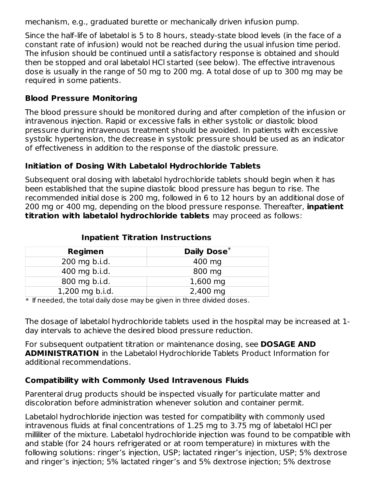mechanism, e.g., graduated burette or mechanically driven infusion pump.

Since the half-life of labetalol is 5 to 8 hours, steady-state blood levels (in the face of a constant rate of infusion) would not be reached during the usual infusion time period. The infusion should be continued until a satisfactory response is obtained and should then be stopped and oral labetalol HCl started (see below). The effective intravenous dose is usually in the range of 50 mg to 200 mg. A total dose of up to 300 mg may be required in some patients.

### **Blood Pressure Monitoring**

The blood pressure should be monitored during and after completion of the infusion or intravenous injection. Rapid or excessive falls in either systolic or diastolic blood pressure during intravenous treatment should be avoided. In patients with excessive systolic hypertension, the decrease in systolic pressure should be used as an indicator of effectiveness in addition to the response of the diastolic pressure.

## **Initiation of Dosing With Labetalol Hydrochloride Tablets**

Subsequent oral dosing with labetalol hydrochloride tablets should begin when it has been established that the supine diastolic blood pressure has begun to rise. The recommended initial dose is 200 mg, followed in 6 to 12 hours by an additional dose of 200 mg or 400 mg, depending on the blood pressure response. Thereafter, **inpatient titration with labetalol hydrochloride tablets** may proceed as follows:

| <b>Regimen</b>  | Daily Dose <sup>*</sup> |
|-----------------|-------------------------|
| 200 mg b.i.d.   | 400 mg                  |
| 400 mg b.i.d.   | 800 mg                  |
| 800 mg b.i.d.   | 1,600 mg                |
| 1,200 mg b.i.d. | 2,400 mg                |

### **Inpatient Titration Instructions**

 $\ast$  If needed, the total daily dose may be given in three divided doses.

The dosage of labetalol hydrochloride tablets used in the hospital may be increased at 1 day intervals to achieve the desired blood pressure reduction.

For subsequent outpatient titration or maintenance dosing, see **DOSAGE AND ADMINISTRATION** in the Labetalol Hydrochloride Tablets Product Information for additional recommendations.

## **Compatibility with Commonly Used Intravenous Fluids**

Parenteral drug products should be inspected visually for particulate matter and discoloration before administration whenever solution and container permit.

Labetalol hydrochloride injection was tested for compatibility with commonly used intravenous fluids at final concentrations of 1.25 mg to 3.75 mg of labetalol HCl per milliliter of the mixture. Labetalol hydrochloride injection was found to be compatible with and stable (for 24 hours refrigerated or at room temperature) in mixtures with the following solutions: ringer's injection, USP; lactated ringer's injection, USP; 5% dextrose and ringer's injection; 5% lactated ringer's and 5% dextrose injection; 5% dextrose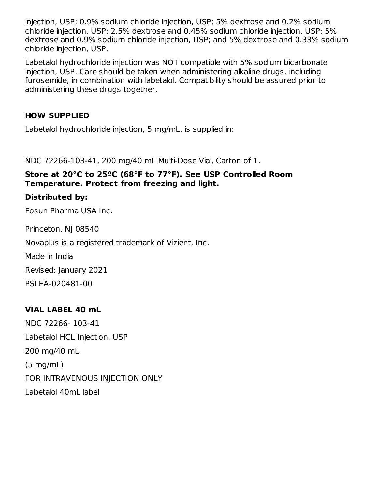injection, USP; 0.9% sodium chloride injection, USP; 5% dextrose and 0.2% sodium chloride injection, USP; 2.5% dextrose and 0.45% sodium chloride injection, USP; 5% dextrose and 0.9% sodium chloride injection, USP; and 5% dextrose and 0.33% sodium chloride injection, USP.

Labetalol hydrochloride injection was NOT compatible with 5% sodium bicarbonate injection, USP. Care should be taken when administering alkaline drugs, including furosemide, in combination with labetalol. Compatibility should be assured prior to administering these drugs together.

### **HOW SUPPLIED**

Labetalol hydrochloride injection, 5 mg/mL, is supplied in:

NDC 72266-103-41, 200 mg/40 mL Multi-Dose Vial, Carton of 1.

#### **Store at 20°C to 25ºC (68°F to 77°F). See USP Controlled Room Temperature. Protect from freezing and light.**

### **Distributed by:**

Fosun Pharma USA Inc.

Princeton, NJ 08540

Novaplus is a registered trademark of Vizient, Inc.

Made in India

Revised: January 2021

PSLEA-020481-00

### **VIAL LABEL 40 mL**

NDC 72266- 103-41 Labetalol HCL Injection, USP 200 mg/40 mL (5 mg/mL) FOR INTRAVENOUS INJECTION ONLY Labetalol 40mL label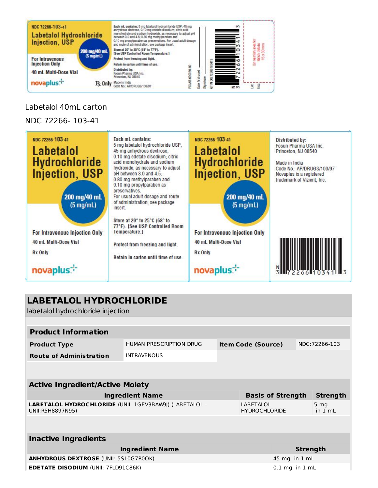

#### Labetalol 40mL carton

NDC 72266- 103-41



| <b>LABETALOL HYDROCHLORIDE</b>                                               |                                                      |  |                                          |  |                    |                            |  |
|------------------------------------------------------------------------------|------------------------------------------------------|--|------------------------------------------|--|--------------------|----------------------------|--|
| labetalol hydrochloride injection                                            |                                                      |  |                                          |  |                    |                            |  |
|                                                                              |                                                      |  |                                          |  |                    |                            |  |
| <b>Product Information</b>                                                   |                                                      |  |                                          |  |                    |                            |  |
| <b>Product Type</b>                                                          | HUMAN PRESCRIPTION DRUG<br><b>Item Code (Source)</b> |  |                                          |  | NDC: 72266-103     |                            |  |
| <b>Route of Administration</b>                                               | <b>INTRAVENOUS</b>                                   |  |                                          |  |                    |                            |  |
|                                                                              |                                                      |  |                                          |  |                    |                            |  |
|                                                                              |                                                      |  |                                          |  |                    |                            |  |
| <b>Active Ingredient/Active Moiety</b>                                       |                                                      |  |                                          |  |                    |                            |  |
|                                                                              | <b>Ingredient Name</b>                               |  | <b>Basis of Strength</b>                 |  |                    | <b>Strength</b>            |  |
| LABETALOL HYDROCHLORIDE (UNII: 1GEV3BAW9J) (LABETALOL -<br>UNII: R5H8897N95) |                                                      |  | <b>LABETALOL</b><br><b>HYDROCHLORIDE</b> |  |                    | 5 <sub>mg</sub><br>in 1 mL |  |
|                                                                              |                                                      |  |                                          |  |                    |                            |  |
|                                                                              |                                                      |  |                                          |  |                    |                            |  |
| <b>Inactive Ingredients</b>                                                  |                                                      |  |                                          |  |                    |                            |  |
| <b>Ingredient Name</b>                                                       |                                                      |  |                                          |  | <b>Strength</b>    |                            |  |
| <b>ANHYDROUS DEXTROSE (UNII: 5SL0G7R0OK)</b>                                 |                                                      |  |                                          |  | 45 mg in 1 mL      |                            |  |
| <b>EDETATE DISODIUM (UNII: 7FLD91C86K)</b>                                   |                                                      |  |                                          |  | $0.1$ mg in $1$ mL |                            |  |